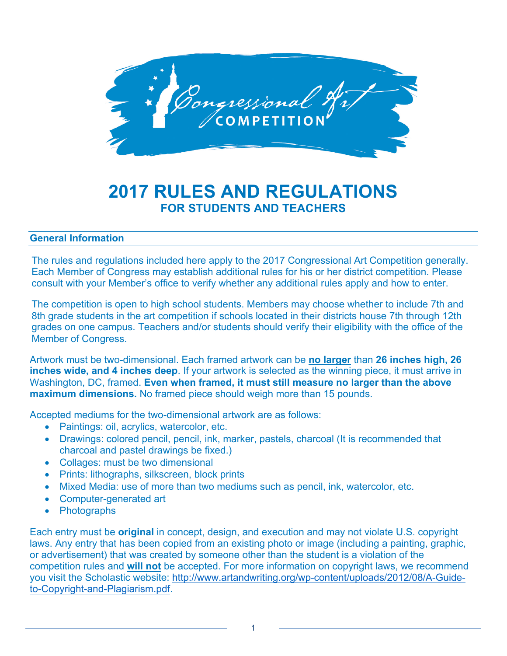

# **2017 RULES AND REGULATIONS FOR STUDENTS AND TEACHERS**

## **General Information**

The rules and regulations included here apply to the 2017 Congressional Art Competition generally. Each Member of Congress may establish additional rules for his or her district competition. Please consult with your Member's office to verify whether any additional rules apply and how to enter.

The competition is open to high school students. Members may choose whether to include 7th and 8th grade students in the art competition if schools located in their districts house 7th through 12th grades on one campus. Teachers and/or students should verify their eligibility with the office of the Member of Congress.

Artwork must be two-dimensional. Each framed artwork can be **no larger** than **26 inches high, 26 inches wide, and 4 inches deep**. If your artwork is selected as the winning piece, it must arrive in Washington, DC, framed. **Even when framed, it must still measure no larger than the above maximum dimensions.** No framed piece should weigh more than 15 pounds.

Accepted mediums for the two-dimensional artwork are as follows:

- Paintings: oil, acrylics, watercolor, etc.
- Drawings: colored pencil, pencil, ink, marker, pastels, charcoal (It is recommended that charcoal and pastel drawings be fixed.)
- Collages: must be two dimensional
- Prints: lithographs, silkscreen, block prints
- Mixed Media: use of more than two mediums such as pencil, ink, watercolor, etc.
- Computer-generated art
- Photographs

Each entry must be **original** in concept, design, and execution and may not violate U.S. copyright laws. Any entry that has been copied from an existing photo or image (including a painting, graphic, or advertisement) that was created by someone other than the student is a violation of the competition rules and **will not** be accepted. For more information on copyright laws, we recommend you visit the Scholastic website: http://www.artandwriting.org/wp-content/uploads/2012/08/A-Guideto-Copyright-and-Plagiarism.pdf.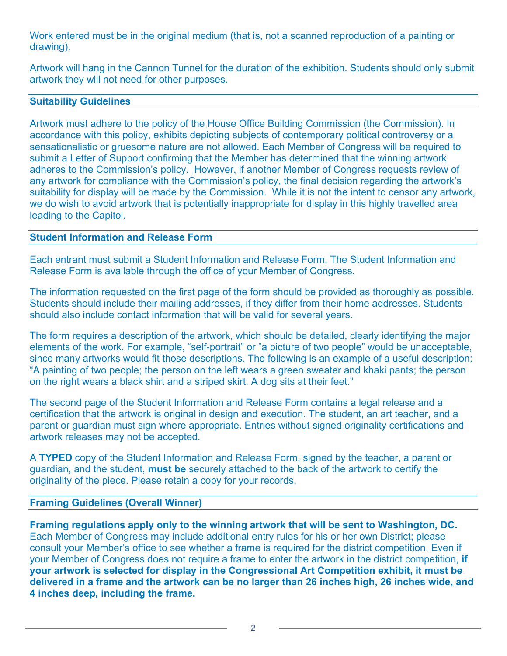Work entered must be in the original medium (that is, not a scanned reproduction of a painting or drawing).

Artwork will hang in the Cannon Tunnel for the duration of the exhibition. Students should only submit artwork they will not need for other purposes.

#### **Suitability Guidelines**

Artwork must adhere to the policy of the House Office Building Commission (the Commission). In accordance with this policy, exhibits depicting subjects of contemporary political controversy or a sensationalistic or gruesome nature are not allowed. Each Member of Congress will be required to submit a Letter of Support confirming that the Member has determined that the winning artwork adheres to the Commission's policy. However, if another Member of Congress requests review of any artwork for compliance with the Commission's policy, the final decision regarding the artwork's suitability for display will be made by the Commission. While it is not the intent to censor any artwork, we do wish to avoid artwork that is potentially inappropriate for display in this highly travelled area leading to the Capitol.

### **Student Information and Release Form**

Each entrant must submit a Student Information and Release Form. The Student Information and Release Form is available through the office of your Member of Congress.

The information requested on the first page of the form should be provided as thoroughly as possible. Students should include their mailing addresses, if they differ from their home addresses. Students should also include contact information that will be valid for several years.

The form requires a description of the artwork, which should be detailed, clearly identifying the major elements of the work. For example, "self-portrait" or "a picture of two people" would be unacceptable, since many artworks would fit those descriptions. The following is an example of a useful description: "A painting of two people; the person on the left wears a green sweater and khaki pants; the person on the right wears a black shirt and a striped skirt. A dog sits at their feet."

The second page of the Student Information and Release Form contains a legal release and a certification that the artwork is original in design and execution. The student, an art teacher, and a parent or guardian must sign where appropriate. Entries without signed originality certifications and artwork releases may not be accepted.

A **TYPED** copy of the Student Information and Release Form, signed by the teacher, a parent or guardian, and the student, **must be** securely attached to the back of the artwork to certify the originality of the piece. Please retain a copy for your records.

## **Framing Guidelines (Overall Winner)**

**Framing regulations apply only to the winning artwork that will be sent to Washington, DC.**  Each Member of Congress may include additional entry rules for his or her own District; please consult your Member's office to see whether a frame is required for the district competition. Even if your Member of Congress does not require a frame to enter the artwork in the district competition, **if your artwork is selected for display in the Congressional Art Competition exhibit, it must be delivered in a frame and the artwork can be no larger than 26 inches high, 26 inches wide, and 4 inches deep, including the frame.**